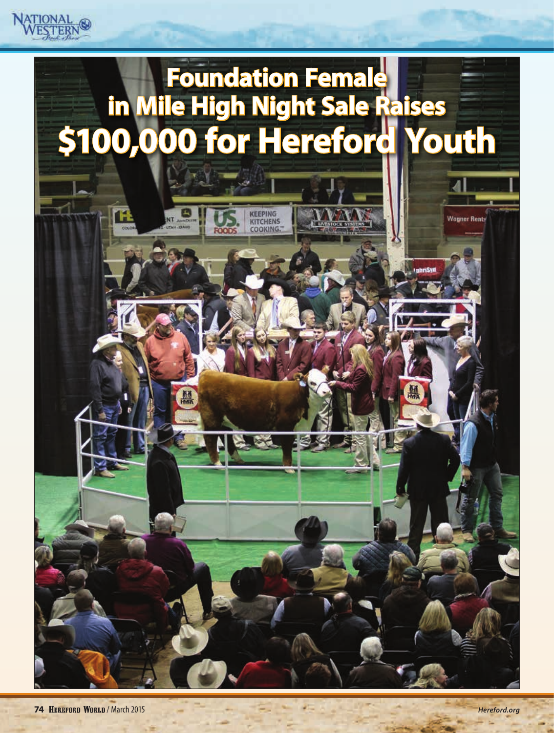